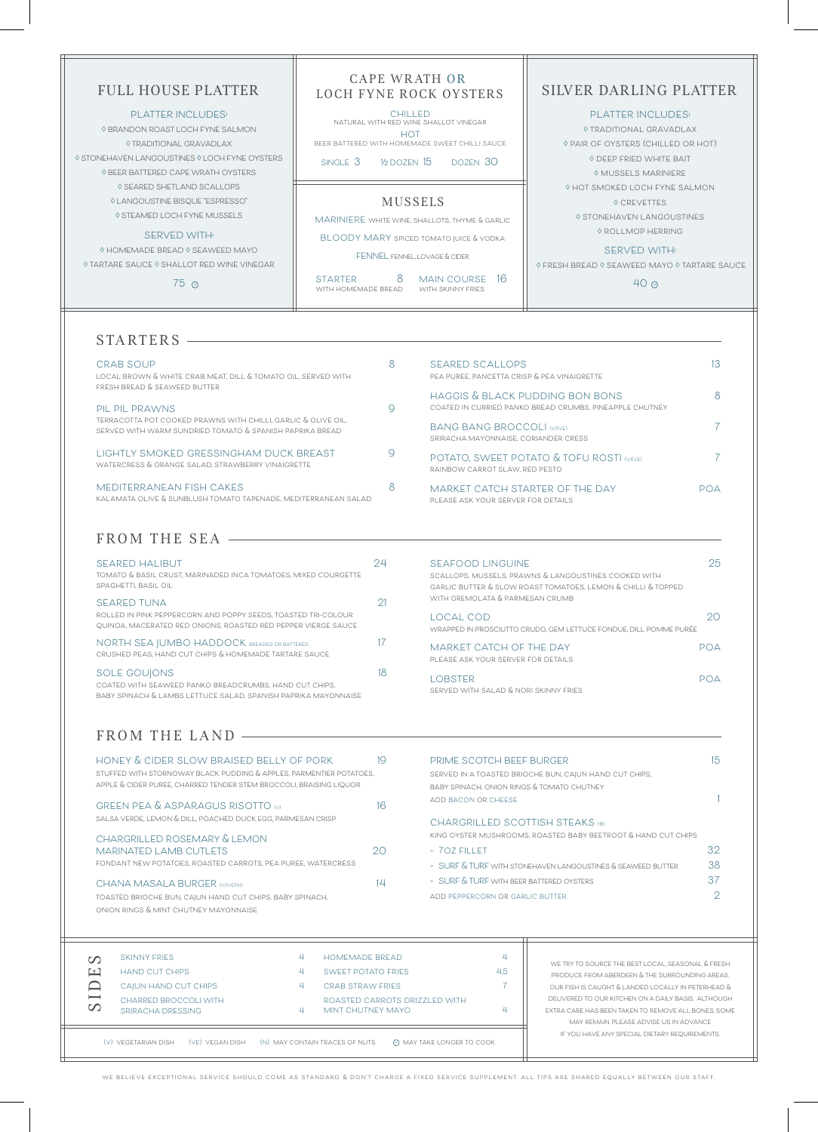**we believe exceptional service should come as standard & don't charge a fixed service supplement. all tips are shared equally between our staff.**

| <b>SKINNY FRIES</b><br><b>HAND CUT CHIPS</b><br>$\Gamma$<br>CAIUN HAND CUT CHIPS<br>$\overline{\phantom{0}}$<br>CHARRED BROCCOLI WITH<br>$\mathcal{O}$<br>SRIRACHA DRESSING | <b>HOMEMADE BREAD</b><br><b>SWEET POTATO FRIES</b><br>4<br>CRAB STRAW FRIES<br>ROASTED CARROTS DRIZZLED WITH<br>MINT CHUTNEY MAYO | 4<br>4.5<br>Д | WE TRY TO SOURCE THE BEST LOCAL, SEASONAL & FRESH<br>PRODUCE FROM ABERDEEN & THE SURROUNDING AREAS.<br>OUR FISH IS CAUGHT & LANDED LOCALLY IN PETERHEAD &<br>DELIVERED TO OUR KITCHEN ON A DAILY BASIS. ALTHOUGH<br>EXTRA CARE HAS BEEN TAKEN TO REMOVE ALL BONES, SOME<br>MAY REMAIN, PLEASE ADVISE US IN ADVANCE |
|-----------------------------------------------------------------------------------------------------------------------------------------------------------------------------|-----------------------------------------------------------------------------------------------------------------------------------|---------------|--------------------------------------------------------------------------------------------------------------------------------------------------------------------------------------------------------------------------------------------------------------------------------------------------------------------|
| (V) VEGETARIAN DISH<br>(VE) VEGAN DISH                                                                                                                                      | (N) MAY CONTAIN TRACES OF NUTS<br><b>MAY TAKE LONGER TO COOK</b>                                                                  |               | IF YOU HAVE ANY SPECIAL DIETARY REQUIREMENTS.                                                                                                                                                                                                                                                                      |

| <b>CRAB SOUP</b><br>LOCAL BROWN & WHITE CRAB MEAT, DILL & TOMATO OIL, SERVED WITH<br>FRESH BREAD & SEAWEED BUTTER         |   | <b>SEARED SCALLOPS</b><br>PEA PUREE, PANCETTA CRISP & PEA VINAIGRETTE                      | 13.           |
|---------------------------------------------------------------------------------------------------------------------------|---|--------------------------------------------------------------------------------------------|---------------|
| PIL PIL PRAWNS                                                                                                            |   | HAGGIS & BLACK PUDDING BON BONS<br>COATED IN CURRIED PANKO BREAD CRUMBS, PINEAPPLE CHUTNEY | 8             |
| TERRACOTTA POT COOKED PRAWNS WITH CHILLI, GARLIC & OLIVE OIL.<br>SERVED WITH WARM SUNDRIED TOMATO & SPANISH PAPRIKA BREAD |   | <b>BANG BANG BROCCOLI (V)(VE)</b><br>SRIRACHA MAYONNAISE, CORIANDER CRESS                  |               |
| LIGHTLY SMOKED GRESSINGHAM DUCK BREAST<br>WATERCRESS & ORANGE SALAD, STRAWBERRY VINAIGRETTE                               |   | POTATO, SWEET POTATO & TOFU ROSTI (V)(VE)<br>RAINBOW CARROT SLAW, RED PESTO                |               |
| MEDITERRANEAN FISH CAKES<br>KALAMATA OLIVE & SUNBLUSH TOMATO TAPENADE, MEDITERRANEAN SALAD                                | 8 | MARKET CATCH STARTER OF THE DAY<br>PLEASE ASK YOUR SERVER FOR DETAILS                      | $P\cap\Delta$ |

### FROM THE SEA

# STARTERS

| SEARED HALIBUT<br>TOMATO & BASIL CRUST, MARINADED INCA TOMATOES, MIXED COURGETTE<br>SPAGHETTI, BASIL OIL                                        |                |
|-------------------------------------------------------------------------------------------------------------------------------------------------|----------------|
| SEARED TUNA<br>ROLLED IN PINK PEPPERCORN AND POPPY SEEDS, TOASTED TRI-COLOUR<br>QUINOA, MACERATED RED ONIONS, ROASTED RED PEPPER VIERGE SAUCE   | $\mathcal{D}1$ |
| NORTH SEA JUMBO HADDOCK BREADED OR BATTERED<br>CRUSHED PEAS, HAND CUT CHIPS & HOMEMADE TARTARE SAUCE                                            |                |
| <b>SOLE GOUJONS</b><br>COATED WITH SEAWEED PANKO BREADCRUMBS, HAND CUT CHIPS.<br>BABY SPINACH & LAMBS LETTUCE SALAD. SPANISH PAPRIKA MAYONNAISE |                |

# FROM THE LAND **CONSERVANCE**

**seafood linguine 25**

**scallops, mussels, prawns & langoustines cooked with garlic butter & slow roast tomatoes, lemon & chilli & topped** 

**with gremolata & parmesan crumb**

**local cod 20 wrapped in prosciutto crudo, gem lettuce fondue, dill pomme purée**

**market catch of the day poa**

**please ask your server for details**

**lobster poa**

**served with salad & nori skinny fries**

| HONEY & CIDER SLOW BRAISED BELLY OF PORK                            | 1Q |
|---------------------------------------------------------------------|----|
| STUFFED WITH STORNOWAY BLACK PUDDING & APPLES, PARMENTIER POTATOES, |    |
| APPLE & CIDER PUREE, CHARRED TENDER STEM BROCCOLI, BRAISING LIQUOR  |    |
|                                                                     |    |

**toasted brioche bun, cajun hand cut chips, baby spinach,** 

**onion rings & mint chutney mayonnaise**

| HONEY & CIDER SLOW BRAISED BELLY OF PORK                            | 19  | PRIME SCOTCH BEEF BURGER                                      |     |
|---------------------------------------------------------------------|-----|---------------------------------------------------------------|-----|
| STUFFED WITH STORNOWAY BLACK PUDDING & APPLES, PARMENTIER POTATOES, |     | SERVED IN A TOASTED BRIOCHE BUN, CAJUN HAND CUT CHIPS,        |     |
| APPLE & CIDER PUREE, CHARRED TENDER STEM BROCCOLI, BRAISING LIQUOR  |     | BABY SPINACH, ONION RINGS & TOMATO CHUTNEY                    |     |
| <b>GREEN PEA &amp; ASPARAGUS RISOTTO W</b>                          | 16  | ADD BACON OR CHEESE                                           |     |
| SALSA VERDE, LEMON & DILL, POACHED DUCK EGG, PARMESAN CRISP         |     | CHARGRILLED SCOTTISH STEAKS (®)                               |     |
| CHARGRILLED ROSEMARY & LEMON                                        |     | KING OYSTER MUSHROOMS, ROASTED BABY BEETROOT & HAND CUT CHIPS |     |
| <b>MARINATED LAMB CUTLETS</b>                                       | 20  | - 70Z FILLET                                                  | 32  |
| FONDANT NEW POTATOES, ROASTED CARROTS, PEA PUREE, WATERCRESS        |     | - SURF & TURF WITH STONEHAVEN LANGOUSTINES & SEAWEED BUTTER   | -38 |
| CHANA MASALA BURGER (V)(VE)(N)                                      | 121 | - SURF & TURF WITH BEER BATTERED OYSTERS                      |     |

**add peppercorn or garlic butter 2**

| <b>FULL HOUSE PLATTER</b>                                                                                                                                                                                                            | CAPE WRATH OR<br>LOCH FYNE ROCK OYSTERS                                                                                                                                                                                                                | SILVER DARLING PLATTER                                                                                                                                                       |
|--------------------------------------------------------------------------------------------------------------------------------------------------------------------------------------------------------------------------------------|--------------------------------------------------------------------------------------------------------------------------------------------------------------------------------------------------------------------------------------------------------|------------------------------------------------------------------------------------------------------------------------------------------------------------------------------|
| <b>PLATTER INCLUDES:</b><br>♦ BRANDON ROAST LOCH FYNE SALMON<br>♦ TRADITIONAL GRAVADLAX<br>♦ STONEHAVEN LANGOUSTINES ♦ LOCH FYNE OYSTERS<br>♦ BEER BATTERED CAPE WRATH OYSTERS                                                       | <b>CHILLED</b><br>NATURAL WITH RED WINE SHALLOT VINEGAR<br><b>HOT</b><br>BEER BATTERED WITH HOMEMADE SWEET CHILLI SAUCE<br>SINGLE 3<br>$\frac{1}{2}$ dozen $15$<br>DOZEN 30                                                                            | <b>PLATTER INCLUDES:</b><br><b>O TRADITIONAL GRAVADI AX</b><br>♦ PAIR OF OYSTERS (CHILLED OR HOT)<br>♦ DEEP FRIED WHITE BAIT<br>♦ MUSSELS MARINIERE                          |
| ♦ SEARED SHETLAND SCALLOPS<br>♦ LANGOUSTINE BISQUE "ESPRESSO"<br>♦ STEAMED LOCH FYNE MUSSELS<br><b>SERVED WITH:</b><br>$\Diamond$ HOMEMADE BREAD $\Diamond$ SEAWEED MAYO<br>♦ TARTARE SAUCE ♦ SHALLOT RED WINE VINEGAR<br>$75^\circ$ | <b>MUSSELS</b><br>MARINIERE WHITE WINE, SHALLOTS, THYME & GARLIC<br><b>BLOODY MARY SPICED TOMATO JUICE &amp; VODKA</b><br>FENNEL FENNEL. LOVAGE & CIDER<br>8<br>16<br><b>MAIN COURSE</b><br><b>STARTER</b><br>WITH HOMEMADE BREAD<br>WITH SKINNY FRIES | ♦ HOT SMOKED LOCH FYNE SALMON<br>♦ CREVETTES<br>♦ STONEHAVEN LANGOUSTINES<br>♦ ROLLMOP HERRING<br><b>SERVED WITH:</b><br>♦ FRESH BREAD ♦ SEAWEED MAYO ♦ TARTARE SAUCE<br>40O |